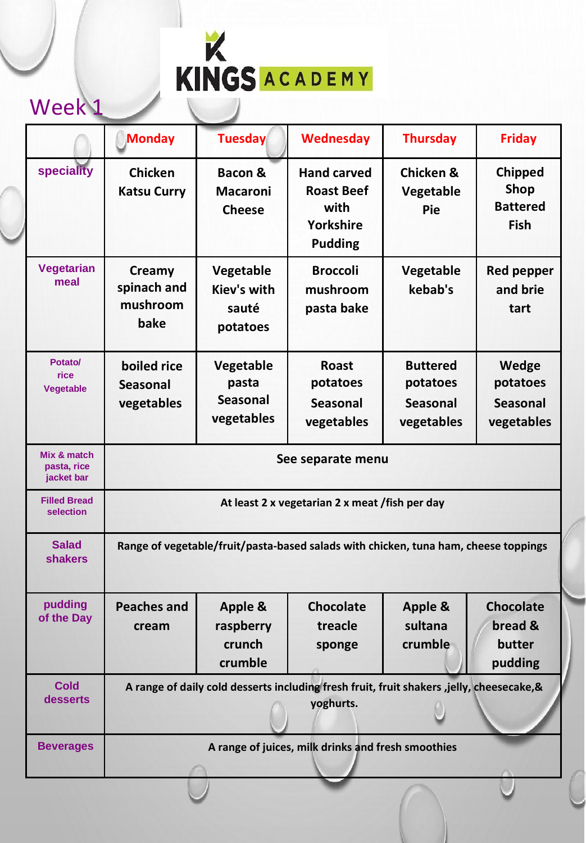|                                          | <b>Monday</b>                                                                                          | Tuesday                                                | <b>Wednesday</b>                                                               | <b>Thursday</b>                                              | <b>Friday</b>                                                   |  |
|------------------------------------------|--------------------------------------------------------------------------------------------------------|--------------------------------------------------------|--------------------------------------------------------------------------------|--------------------------------------------------------------|-----------------------------------------------------------------|--|
| speciality                               | <b>Chicken</b><br><b>Katsu Curry</b>                                                                   | <b>Bacon &amp;</b><br><b>Macaroni</b><br><b>Cheese</b> | <b>Hand carved</b><br><b>Roast Beef</b><br>with<br>Yorkshire<br><b>Pudding</b> | <b>Chicken &amp;</b><br>Vegetable<br>Pie                     | <b>Chipped</b><br><b>Shop</b><br><b>Battered</b><br><b>Fish</b> |  |
| <b>Vegetarian</b><br>meal                | Creamy<br>spinach and<br>mushroom<br>bake                                                              | Vegetable<br><b>Kiev's with</b><br>sauté<br>potatoes   | <b>Broccoli</b><br>mushroom<br>pasta bake                                      | Vegetable<br>kebab's                                         | <b>Red pepper</b><br>and brie<br>tart                           |  |
| Potato/<br>rice<br><b>Vegetable</b>      | boiled rice<br><b>Seasonal</b><br>vegetables                                                           | Vegetable<br>pasta<br><b>Seasonal</b><br>vegetables    | <b>Roast</b><br>potatoes<br><b>Seasonal</b><br>vegetables                      | <b>Buttered</b><br>potatoes<br><b>Seasonal</b><br>vegetables | Wedge<br>potatoes<br><b>Seasonal</b><br>vegetables              |  |
| Mix & match<br>pasta, rice<br>jacket bar | See separate menu                                                                                      |                                                        |                                                                                |                                                              |                                                                 |  |
| <b>Filled Bread</b><br>selection         | At least 2 x vegetarian 2 x meat /fish per day                                                         |                                                        |                                                                                |                                                              |                                                                 |  |
| <b>Salad</b><br><b>shakers</b>           | Range of vegetable/fruit/pasta-based salads with chicken, tuna ham, cheese toppings                    |                                                        |                                                                                |                                                              |                                                                 |  |
| pudding<br>of the Day                    | <b>Peaches and</b><br>cream                                                                            | <b>Apple &amp;</b><br>raspberry<br>crunch<br>crumble   | <b>Chocolate</b><br>treacle<br>sponge                                          | <b>Apple &amp;</b><br>sultana<br>crumble                     | <b>Chocolate</b><br>bread &<br>butter<br>pudding                |  |
| <b>Cold</b><br>desserts                  | A range of daily cold desserts including fresh fruit, fruit shakers ,jelly, cheesecake, &<br>yoghurts. |                                                        |                                                                                |                                                              |                                                                 |  |
| <b>Beverages</b>                         | A range of juices, milk drinks and fresh smoothies                                                     |                                                        |                                                                                |                                                              |                                                                 |  |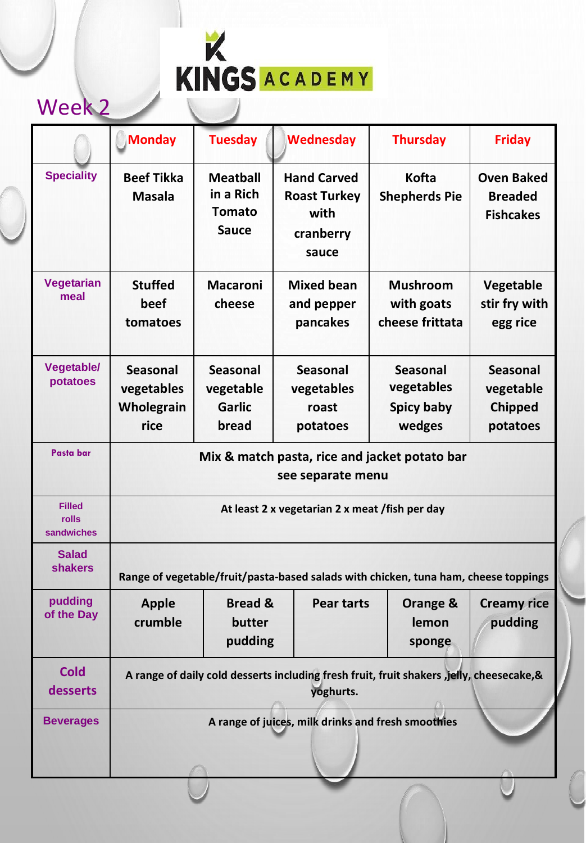|                                             | <b>Monday</b>                                                                                          | <b>Tuesday</b>                                                | <b>Wednesday</b>                                                        | <b>Thursday</b>                                              | <b>Friday</b>                                              |  |
|---------------------------------------------|--------------------------------------------------------------------------------------------------------|---------------------------------------------------------------|-------------------------------------------------------------------------|--------------------------------------------------------------|------------------------------------------------------------|--|
| <b>Speciality</b>                           | <b>Beef Tikka</b><br><b>Masala</b>                                                                     | <b>Meatball</b><br>in a Rich<br><b>Tomato</b><br><b>Sauce</b> | <b>Hand Carved</b><br><b>Roast Turkey</b><br>with<br>cranberry<br>sauce | <b>Kofta</b><br><b>Shepherds Pie</b>                         | <b>Oven Baked</b><br><b>Breaded</b><br><b>Fishcakes</b>    |  |
| <b>Vegetarian</b><br>meal                   | <b>Stuffed</b><br>beef<br>tomatoes                                                                     | <b>Macaroni</b><br>cheese                                     | <b>Mixed bean</b><br>and pepper<br>pancakes                             | <b>Mushroom</b><br>with goats<br>cheese frittata             | Vegetable<br>stir fry with<br>egg rice                     |  |
| <b>Vegetable/</b><br>potatoes               | <b>Seasonal</b><br>vegetables<br>Wholegrain<br>rice                                                    | <b>Seasonal</b><br>vegetable<br><b>Garlic</b><br>bread        | <b>Seasonal</b><br>vegetables<br>roast<br>potatoes                      | <b>Seasonal</b><br>vegetables<br><b>Spicy baby</b><br>wedges | <b>Seasonal</b><br>vegetable<br><b>Chipped</b><br>potatoes |  |
| Pasta bar                                   | Mix & match pasta, rice and jacket potato bar<br>see separate menu                                     |                                                               |                                                                         |                                                              |                                                            |  |
| <b>Filled</b><br><b>rolls</b><br>sandwiches | At least 2 x vegetarian 2 x meat /fish per day                                                         |                                                               |                                                                         |                                                              |                                                            |  |
| <b>Salad</b><br><b>shakers</b>              | Range of vegetable/fruit/pasta-based salads with chicken, tuna ham, cheese toppings                    |                                                               |                                                                         |                                                              |                                                            |  |
| pudding<br>of the Day                       | <b>Apple</b><br>crumble                                                                                | <b>Bread &amp;</b><br>butter<br>pudding                       | <b>Pear tarts</b>                                                       | Orange &<br>lemon<br>sponge                                  | <b>Creamy rice</b><br>pudding                              |  |
| <b>Cold</b><br>desserts                     | A range of daily cold desserts including fresh fruit, fruit shakers, jelly, cheesecake, &<br>yoghurts. |                                                               |                                                                         |                                                              |                                                            |  |
| <b>Beverages</b>                            | A range of juices, milk drinks and fresh smoothies                                                     |                                                               |                                                                         |                                                              |                                                            |  |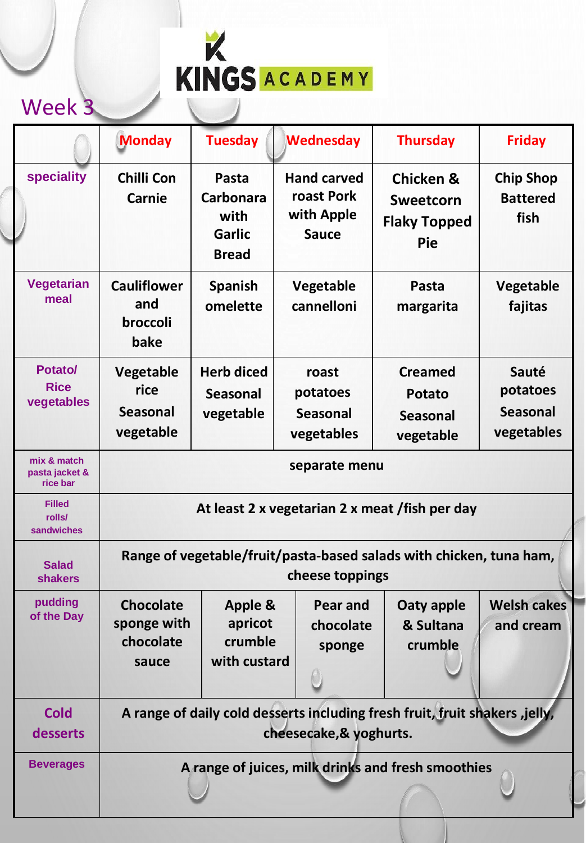|                                           | <b>Monday</b>                                                                                          | <b>Tuesday</b>                                                     | <b>Wednesday</b>                                               | <b>Thursday</b>                                                               | <b>Friday</b>                                      |  |
|-------------------------------------------|--------------------------------------------------------------------------------------------------------|--------------------------------------------------------------------|----------------------------------------------------------------|-------------------------------------------------------------------------------|----------------------------------------------------|--|
| <b>speciality</b>                         | <b>Chilli Con</b><br><b>Carnie</b>                                                                     | Pasta<br><b>Carbonara</b><br>with<br><b>Garlic</b><br><b>Bread</b> | <b>Hand carved</b><br>roast Pork<br>with Apple<br><b>Sauce</b> | <b>Chicken &amp;</b><br><b>Sweetcorn</b><br><b>Flaky Topped</b><br><b>Pie</b> | <b>Chip Shop</b><br><b>Battered</b><br>fish        |  |
| <b>Vegetarian</b><br>meal                 | <b>Cauliflower</b><br>and<br>broccoli<br>bake                                                          | <b>Spanish</b><br>omelette                                         | <b>Vegetable</b><br>cannelloni                                 | Pasta<br>margarita                                                            | Vegetable<br>fajitas                               |  |
| Potato/<br><b>Rice</b><br>vegetables      | <b>Vegetable</b><br>rice<br><b>Seasonal</b><br>vegetable                                               | <b>Herb diced</b><br><b>Seasonal</b><br>vegetable                  | roast<br>potatoes<br><b>Seasonal</b><br>vegetables             | <b>Creamed</b><br><b>Potato</b><br><b>Seasonal</b><br>vegetable               | Sauté<br>potatoes<br><b>Seasonal</b><br>vegetables |  |
| mix & match<br>pasta jacket &<br>rice bar | separate menu                                                                                          |                                                                    |                                                                |                                                                               |                                                    |  |
| <b>Filled</b><br>rolls/<br>sandwiches     | At least 2 x vegetarian 2 x meat /fish per day                                                         |                                                                    |                                                                |                                                                               |                                                    |  |
| <b>Salad</b><br><b>shakers</b>            | Range of vegetable/fruit/pasta-based salads with chicken, tuna ham,<br>cheese toppings                 |                                                                    |                                                                |                                                                               |                                                    |  |
| pudding<br>of the Day                     | <b>Chocolate</b><br>sponge with<br>chocolate<br>sauce                                                  | Apple &<br>apricot<br>crumble<br>with custard                      | <b>Pear and</b><br>chocolate<br>sponge                         | Oaty apple<br>& Sultana<br>crumble                                            | <b>Welsh cakes</b><br>and cream                    |  |
| <b>Cold</b><br>desserts                   | A range of daily cold desserts including fresh fruit, fruit shakers ,jelly,<br>cheesecake, & yoghurts. |                                                                    |                                                                |                                                                               |                                                    |  |
| <b>Beverages</b>                          | A range of juices, milk drinks and fresh smoothies                                                     |                                                                    |                                                                |                                                                               |                                                    |  |